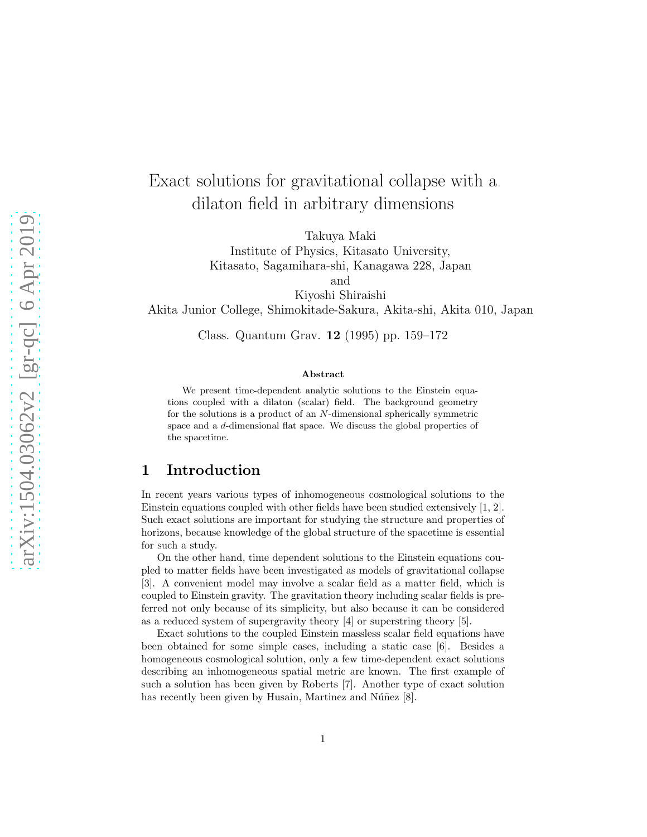# Exact solutions for gravitational collapse with a dilaton field in arbitrary dimensions

Takuya Maki

Institute of Physics, Kitasato University, Kitasato, Sagamihara-shi, Kanagawa 228, Japan

and

Kiyoshi Shiraishi Akita Junior College, Shimokitade-Sakura, Akita-shi, Akita 010, Japan

Class. Quantum Grav. 12 (1995) pp. 159–172

#### Abstract

We present time-dependent analytic solutions to the Einstein equations coupled with a dilaton (scalar) field. The background geometry for the solutions is a product of an N-dimensional spherically symmetric space and a d-dimensional flat space. We discuss the global properties of the spacetime.

#### 1 Introduction

In recent years various types of inhomogeneous cosmological solutions to the Einstein equations coupled with other fields have been studied extensively [1, 2]. Such exact solutions are important for studying the structure and properties of horizons, because knowledge of the global structure of the spacetime is essential for such a study.

On the other hand, time dependent solutions to the Einstein equations coupled to matter fields have been investigated as models of gravitational collapse [3]. A convenient model may involve a scalar field as a matter field, which is coupled to Einstein gravity. The gravitation theory including scalar fields is preferred not only because of its simplicity, but also because it can be considered as a reduced system of supergravity theory [4] or superstring theory [5].

Exact solutions to the coupled Einstein massless scalar field equations have been obtained for some simple cases, including a static case [6]. Besides a homogeneous cosmological solution, only a few time-dependent exact solutions describing an inhomogeneous spatial metric are known. The first example of such a solution has been given by Roberts [7]. Another type of exact solution has recently been given by Husain, Martinez and Núñez  $[8]$ .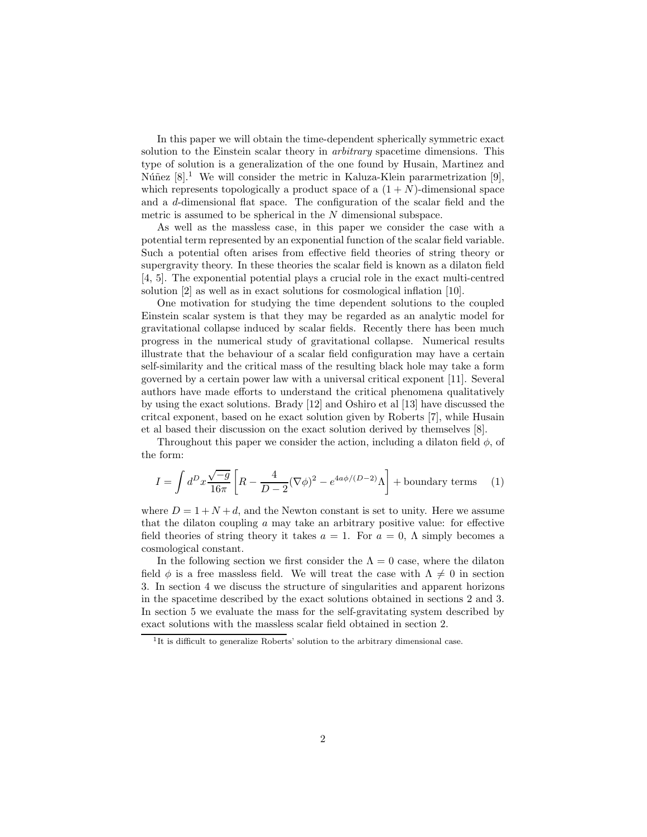In this paper we will obtain the time-dependent spherically symmetric exact solution to the Einstein scalar theory in *arbitrary* spacetime dimensions. This type of solution is a generalization of the one found by Husain, Martinez and Núñez  $[8]$ .<sup>1</sup> We will consider the metric in Kaluza-Klein pararmetrization [9], which represents topologically a product space of a  $(1 + N)$ -dimensional space and a d-dimensional flat space. The configuration of the scalar field and the metric is assumed to be spherical in the N dimensional subspace.

As well as the massless case, in this paper we consider the case with a potential term represented by an exponential function of the scalar field variable. Such a potential often arises from effective field theories of string theory or supergravity theory. In these theories the scalar field is known as a dilaton field [4, 5]. The exponential potential plays a crucial role in the exact multi-centred solution [2] as well as in exact solutions for cosmological inflation [10].

One motivation for studying the time dependent solutions to the coupled Einstein scalar system is that they may be regarded as an analytic model for gravitational collapse induced by scalar fields. Recently there has been much progress in the numerical study of gravitational collapse. Numerical results illustrate that the behaviour of a scalar field configuration may have a certain self-similarity and the critical mass of the resulting black hole may take a form governed by a certain power law with a universal critical exponent [11]. Several authors have made efforts to understand the critical phenomena qualitatively by using the exact solutions. Brady [12] and Oshiro et al [13] have discussed the critcal exponent, based on he exact solution given by Roberts [7], while Husain et al based their discussion on the exact solution derived by themselves [8].

Throughout this paper we consider the action, including a dilaton field  $\phi$ , of the form:

$$
I = \int d^D x \frac{\sqrt{-g}}{16\pi} \left[ R - \frac{4}{D-2} (\nabla \phi)^2 - e^{4a\phi/(D-2)} \Lambda \right] + \text{boundary terms} \quad (1)
$$

where  $D = 1 + N + d$ , and the Newton constant is set to unity. Here we assume that the dilaton coupling  $\alpha$  may take an arbitrary positive value: for effective field theories of string theory it takes  $a = 1$ . For  $a = 0$ ,  $\Lambda$  simply becomes a cosmological constant.

In the following section we first consider the  $\Lambda = 0$  case, where the dilaton field  $\phi$  is a free massless field. We will treat the case with  $\Lambda \neq 0$  in section 3. In section 4 we discuss the structure of singularities and apparent horizons in the spacetime described by the exact solutions obtained in sections 2 and 3. In section 5 we evaluate the mass for the self-gravitating system described by exact solutions with the massless scalar field obtained in section 2.

<sup>&</sup>lt;sup>1</sup>It is difficult to generalize Roberts' solution to the arbitrary dimensional case.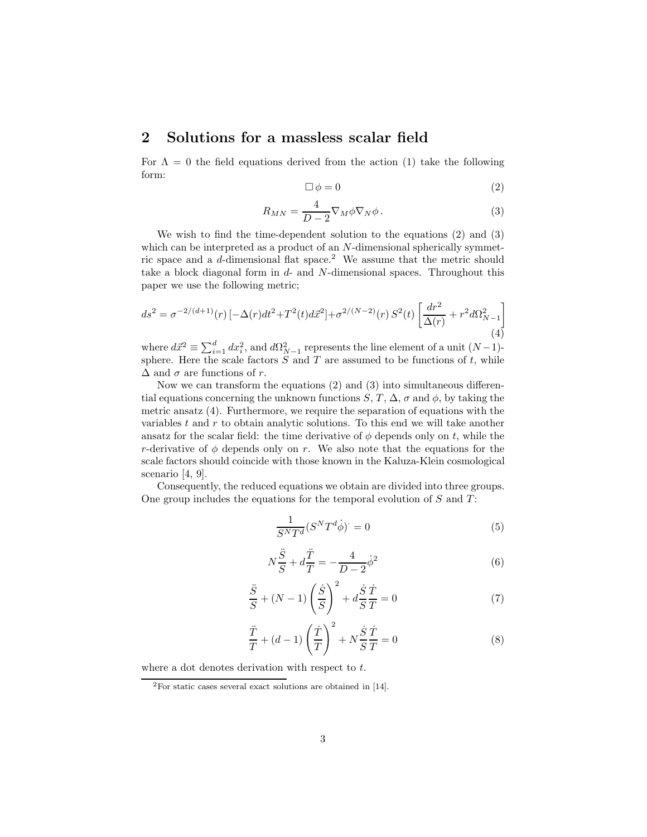#### 2 Solutions for a massless scalar field

For  $\Lambda = 0$  the field equations derived from the action (1) take the following form:

$$
\Box \phi = 0 \tag{2}
$$

$$
R_{MN} = \frac{4}{D-2} \nabla_M \phi \nabla_N \phi.
$$
 (3)

We wish to find the time-dependent solution to the equations (2) and (3) which can be interpreted as a product of an N-dimensional spherically symmetric space and a d-dimensional flat space.<sup>2</sup> We assume that the metric should take a block diagonal form in  $d$ - and  $N$ -dimensional spaces. Throughout this paper we use the following metric;

$$
ds^{2} = \sigma^{-2/(d+1)}(r) \left[ -\Delta(r)dt^{2} + T^{2}(t)d\vec{x}^{2} \right] + \sigma^{2/(N-2)}(r) S^{2}(t) \left[ \frac{dr^{2}}{\Delta(r)} + r^{2} d\Omega_{N-1}^{2} \right]
$$
\n(4)

where  $d\vec{x}^2 \equiv \sum_{i=1}^d dx_i^2$ , and  $d\Omega_{N-1}^2$  represents the line element of a unit  $(N-1)$ sphere. Here the scale factors  $S$  and  $T$  are assumed to be functions of  $t$ , while  $\Delta$  and  $\sigma$  are functions of r.

Now we can transform the equations (2) and (3) into simultaneous differential equations concerning the unknown functions  $S, T, \Delta, \sigma$  and  $\phi$ , by taking the metric ansatz (4). Furthermore, we require the separation of equations with the variables  $t$  and  $r$  to obtain analytic solutions. To this end we will take another ansatz for the scalar field: the time derivative of  $\phi$  depends only on t, while the r-derivative of  $\phi$  depends only on r. We also note that the equations for the scale factors should coincide with those known in the Kaluza-Klein cosmological scenario [4, 9].

Consequently, the reduced equations we obtain are divided into three groups. One group includes the equations for the temporal evolution of  $S$  and  $T$ :

$$
\frac{1}{S^N T^d} (S^N T^d \dot{\phi})^{\cdot} = 0 \tag{5}
$$

$$
N\frac{\ddot{S}}{S} + d\frac{\ddot{T}}{T} = -\frac{4}{D-2}\dot{\phi}^2\tag{6}
$$

$$
\frac{\ddot{S}}{S} + (N-1)\left(\frac{\dot{S}}{S}\right)^2 + d\frac{\dot{S}}{S}\frac{\dot{T}}{T} = 0\tag{7}
$$

$$
\frac{\ddot{T}}{T} + (d-1)\left(\frac{\dot{T}}{T}\right)^2 + N\frac{\dot{S}}{S}\frac{\dot{T}}{T} = 0
$$
\n(8)

where a dot denotes derivation with respect to t.

<sup>2</sup>For static cases several exact solutions are obtained in [14].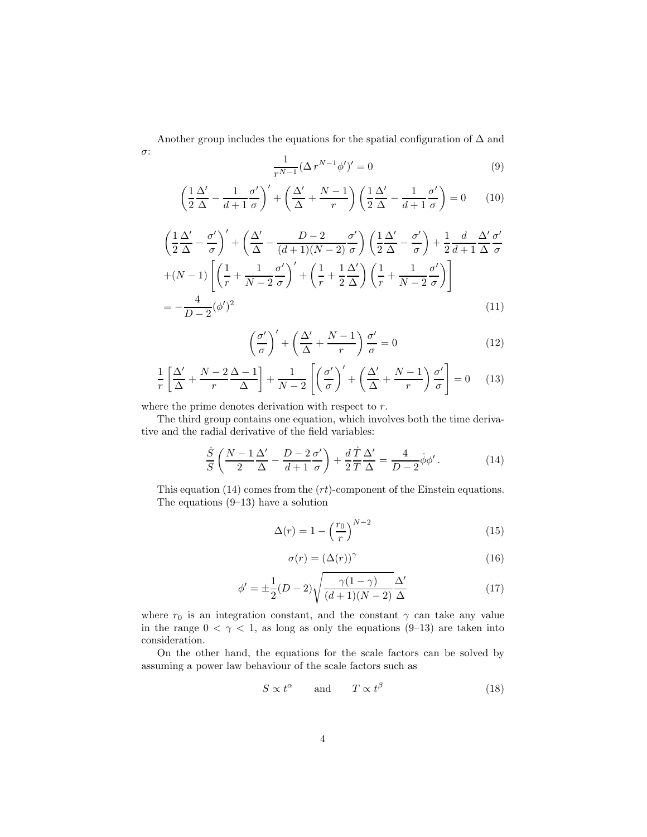Another group includes the equations for the spatial configuration of  $\Delta$  and σ:

$$
\frac{1}{r^{N-1}} (\Delta r^{N-1} \phi')' = 0
$$
\n(9)

$$
\left(\frac{1}{2}\frac{\Delta'}{\Delta} - \frac{1}{d+1}\frac{\sigma'}{\sigma}\right)' + \left(\frac{\Delta'}{\Delta} + \frac{N-1}{r}\right)\left(\frac{1}{2}\frac{\Delta'}{\Delta} - \frac{1}{d+1}\frac{\sigma'}{\sigma}\right) = 0\tag{10}
$$

$$
\left(\frac{1}{2}\frac{\Delta'}{\Delta} - \frac{\sigma'}{\sigma}\right)' + \left(\frac{\Delta'}{\Delta} - \frac{D-2}{(d+1)(N-2)}\frac{\sigma'}{\sigma}\right)\left(\frac{1}{2}\frac{\Delta'}{\Delta} - \frac{\sigma'}{\sigma}\right) + \frac{1}{2}\frac{d}{d+1}\frac{\Delta'}{\Delta}\frac{\sigma'}{\sigma}
$$

$$
+(N-1)\left[\left(\frac{1}{r} + \frac{1}{N-2}\frac{\sigma'}{\sigma}\right)' + \left(\frac{1}{r} + \frac{1}{2}\frac{\Delta'}{\Delta}\right)\left(\frac{1}{r} + \frac{1}{N-2}\frac{\sigma'}{\sigma}\right)\right]
$$

$$
= -\frac{4}{D-2}(\phi')^2\tag{11}
$$

$$
\left(\frac{\sigma'}{\sigma}\right)' + \left(\frac{\Delta'}{\Delta} + \frac{N-1}{r}\right)\frac{\sigma'}{\sigma} = 0\tag{12}
$$

$$
\frac{1}{r}\left[\frac{\Delta'}{\Delta} + \frac{N-2}{r}\frac{\Delta-1}{\Delta}\right] + \frac{1}{N-2}\left[\left(\frac{\sigma'}{\sigma}\right)' + \left(\frac{\Delta'}{\Delta} + \frac{N-1}{r}\right)\frac{\sigma'}{\sigma}\right] = 0 \quad (13)
$$

where the prime denotes derivation with respect to r.

 $\overline{\mathcal{S}}$ 

The third group contains one equation, which involves both the time derivative and the radial derivative of the field variables:

$$
\frac{\dot{S}}{S} \left( \frac{N-1}{2} \frac{\Delta'}{\Delta} - \frac{D-2}{d+1} \frac{\sigma'}{\sigma} \right) + \frac{d}{2} \frac{\dot{T}}{T} \frac{\Delta'}{\Delta} = \frac{4}{D-2} \dot{\phi} \phi' \,. \tag{14}
$$

This equation  $(14)$  comes from the  $(rt)$ -component of the Einstein equations. The equations (9–13) have a solution

$$
\Delta(r) = 1 - \left(\frac{r_0}{r}\right)^{N-2} \tag{15}
$$

$$
\sigma(r) = (\Delta(r))^\gamma \tag{16}
$$

$$
\phi' = \pm \frac{1}{2}(D-2)\sqrt{\frac{\gamma(1-\gamma)}{(d+1)(N-2)}}\frac{\Delta'}{\Delta}
$$
\n(17)

where  $r_0$  is an integration constant, and the constant  $\gamma$  can take any value in the range  $0 < \gamma < 1$ , as long as only the equations (9-13) are taken into consideration.

On the other hand, the equations for the scale factors can be solved by assuming a power law behaviour of the scale factors such as

$$
S \propto t^{\alpha} \qquad \text{and} \qquad T \propto t^{\beta} \tag{18}
$$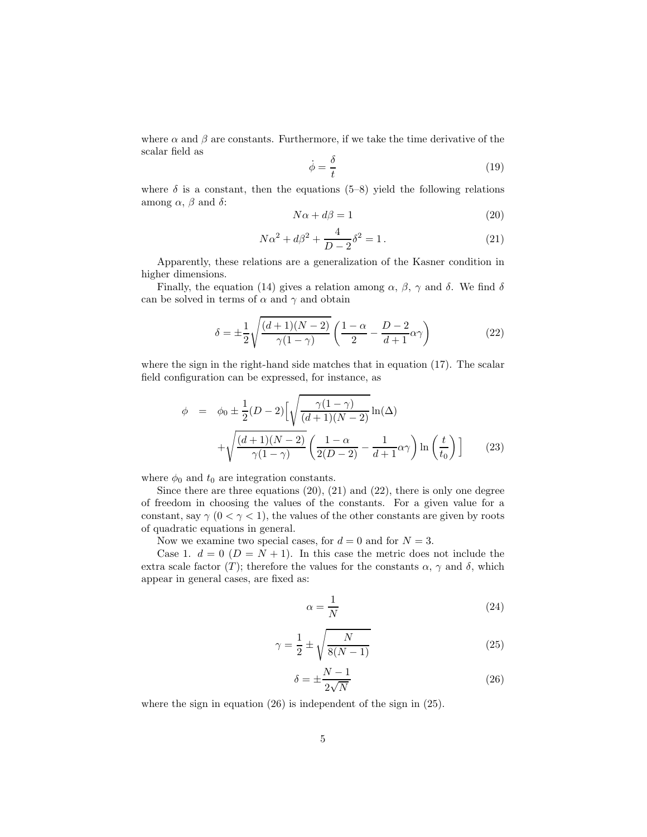where  $\alpha$  and  $\beta$  are constants. Furthermore, if we take the time derivative of the scalar field as

$$
\dot{\phi} = \frac{\delta}{t} \tag{19}
$$

where  $\delta$  is a constant, then the equations (5–8) yield the following relations among  $\alpha$ ,  $\beta$  and  $\delta$ :

$$
N\alpha + d\beta = 1\tag{20}
$$

$$
N\alpha^2 + d\beta^2 + \frac{4}{D-2}\delta^2 = 1.
$$
 (21)

Apparently, these relations are a generalization of the Kasner condition in higher dimensions.

Finally, the equation (14) gives a relation among  $\alpha$ ,  $\beta$ ,  $\gamma$  and  $\delta$ . We find  $\delta$ can be solved in terms of  $\alpha$  and  $\gamma$  and obtain

$$
\delta = \pm \frac{1}{2} \sqrt{\frac{(d+1)(N-2)}{\gamma(1-\gamma)}} \left( \frac{1-\alpha}{2} - \frac{D-2}{d+1} \alpha \gamma \right)
$$
(22)

where the sign in the right-hand side matches that in equation (17). The scalar field configuration can be expressed, for instance, as

$$
\phi = \phi_0 \pm \frac{1}{2}(D-2)\left[\sqrt{\frac{\gamma(1-\gamma)}{(d+1)(N-2)}}\ln(\Delta) + \sqrt{\frac{(d+1)(N-2)}{\gamma(1-\gamma)}}\left(\frac{1-\alpha}{2(D-2)} - \frac{1}{d+1}\alpha\gamma\right)\ln\left(\frac{t}{t_0}\right)\right]
$$
(23)

where  $\phi_0$  and  $t_0$  are integration constants.

Since there are three equations  $(20)$ ,  $(21)$  and  $(22)$ , there is only one degree of freedom in choosing the values of the constants. For a given value for a constant, say  $\gamma$  (0 <  $\gamma$  < 1), the values of the other constants are given by roots of quadratic equations in general.

Now we examine two special cases, for  $d = 0$  and for  $N = 3$ .

Case 1.  $d = 0$   $(D = N + 1)$ . In this case the metric does not include the extra scale factor (T); therefore the values for the constants  $\alpha$ ,  $\gamma$  and  $\delta$ , which appear in general cases, are fixed as:

$$
\alpha = \frac{1}{N} \tag{24}
$$

$$
\gamma = \frac{1}{2} \pm \sqrt{\frac{N}{8(N-1)}}\tag{25}
$$

$$
\delta = \pm \frac{N-1}{2\sqrt{N}}\tag{26}
$$

where the sign in equation (26) is independent of the sign in (25).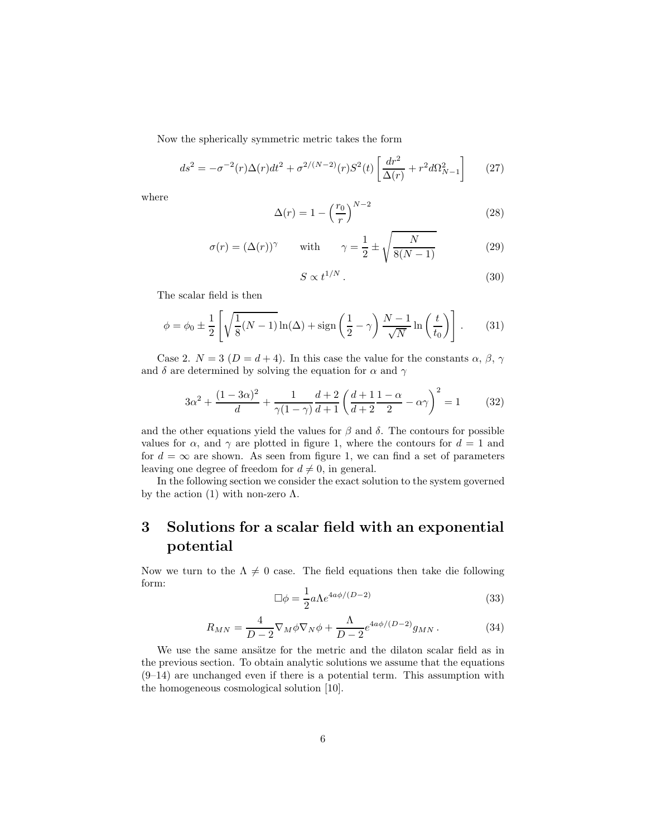Now the spherically symmetric metric takes the form

$$
ds^{2} = -\sigma^{-2}(r)\Delta(r)dt^{2} + \sigma^{2/(N-2)}(r)S^{2}(t)\left[\frac{dr^{2}}{\Delta(r)} + r^{2}d\Omega_{N-1}^{2}\right] \tag{27}
$$

where

$$
\Delta(r) = 1 - \left(\frac{r_0}{r}\right)^{N-2} \tag{28}
$$

$$
\sigma(r) = (\Delta(r))^\gamma \quad \text{with} \quad \gamma = \frac{1}{2} \pm \sqrt{\frac{N}{8(N-1)}} \tag{29}
$$

$$
S \propto t^{1/N} \,. \tag{30}
$$

The scalar field is then

$$
\phi = \phi_0 \pm \frac{1}{2} \left[ \sqrt{\frac{1}{8}(N-1)} \ln(\Delta) + \text{sign}\left(\frac{1}{2} - \gamma\right) \frac{N-1}{\sqrt{N}} \ln\left(\frac{t}{t_0}\right) \right].
$$
 (31)

Case 2.  $N = 3$  ( $D = d + 4$ ). In this case the value for the constants  $\alpha$ ,  $\beta$ ,  $\gamma$ and  $\delta$  are determined by solving the equation for  $\alpha$  and  $\gamma$ 

$$
3\alpha^2 + \frac{(1 - 3\alpha)^2}{d} + \frac{1}{\gamma(1 - \gamma)}\frac{d + 2}{d + 1}\left(\frac{d + 1}{d + 2}\frac{1 - \alpha}{2} - \alpha\gamma\right)^2 = 1\tag{32}
$$

and the other equations yield the values for  $\beta$  and  $\delta$ . The contours for possible values for  $\alpha$ , and  $\gamma$  are plotted in figure 1, where the contours for  $d = 1$  and for  $d = \infty$  are shown. As seen from figure 1, we can find a set of parameters leaving one degree of freedom for  $d \neq 0$ , in general.

In the following section we consider the exact solution to the system governed by the action (1) with non-zero  $\Lambda$ .

# 3 Solutions for a scalar field with an exponential potential

Now we turn to the  $\Lambda \neq 0$  case. The field equations then take die following form:

$$
\Box \phi = \frac{1}{2} a \Lambda e^{4a\phi/(D-2)} \tag{33}
$$

$$
R_{MN} = \frac{4}{D-2} \nabla_M \phi \nabla_N \phi + \frac{\Lambda}{D-2} e^{4a\phi/(D-2)} g_{MN} \,. \tag{34}
$$

We use the same ansätze for the metric and the dilaton scalar field as in the previous section. To obtain analytic solutions we assume that the equations (9–14) are unchanged even if there is a potential term. This assumption with the homogeneous cosmological solution [10].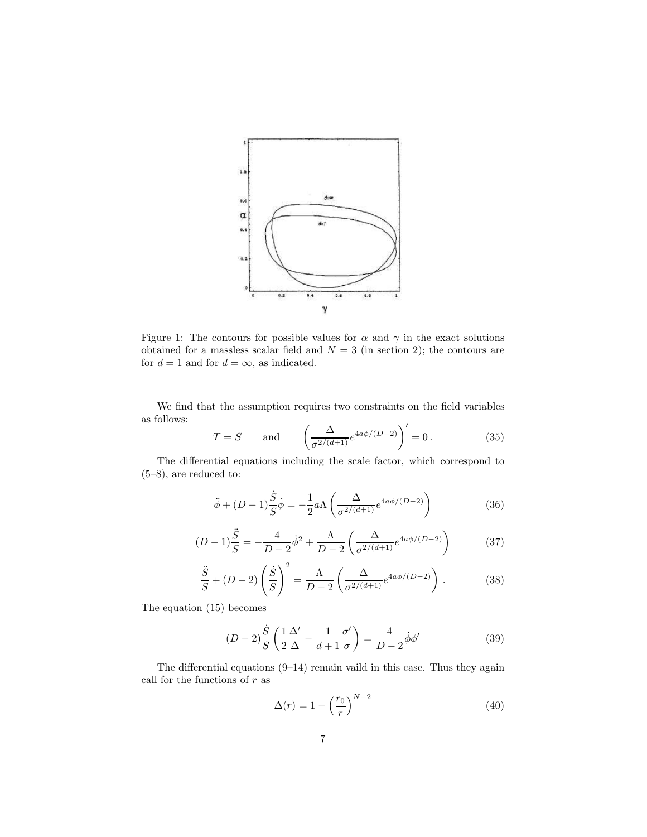

Figure 1: The contours for possible values for  $\alpha$  and  $\gamma$  in the exact solutions obtained for a massless scalar field and  $N = 3$  (in section 2); the contours are for  $d = 1$  and for  $d = \infty$ , as indicated.

We find that the assumption requires two constraints on the field variables as follows:

$$
T = S \quad \text{and} \quad \left(\frac{\Delta}{\sigma^{2/(d+1)}} e^{4a\phi/(D-2)}\right)' = 0. \tag{35}
$$

The differential equations including the scale factor, which correspond to (5–8), are reduced to:

$$
\ddot{\phi} + (D - 1)\frac{\dot{S}}{S}\dot{\phi} = -\frac{1}{2}a\Lambda \left(\frac{\Delta}{\sigma^{2/(d+1)}}e^{4a\phi/(D-2)}\right)
$$
(36)

$$
(D-1)\frac{\ddot{S}}{S} = -\frac{4}{D-2}\dot{\phi}^2 + \frac{\Lambda}{D-2}\left(\frac{\Delta}{\sigma^{2/(d+1)}}e^{4a\phi/(D-2)}\right) \tag{37}
$$

$$
\frac{\ddot{S}}{S} + (D-2)\left(\frac{\dot{S}}{S}\right)^2 = \frac{\Lambda}{D-2}\left(\frac{\Delta}{\sigma^{2/(d+1)}}e^{4a\phi/(D-2)}\right). \tag{38}
$$

The equation (15) becomes

$$
(D-2)\frac{\dot{S}}{S}\left(\frac{1}{2}\frac{\Delta'}{\Delta} - \frac{1}{d+1}\frac{\sigma'}{\sigma}\right) = \frac{4}{D-2}\dot{\phi}\phi'
$$
\n(39)

The differential equations (9–14) remain vaild in this case. Thus they again call for the functions of  $r$  as

$$
\Delta(r) = 1 - \left(\frac{r_0}{r}\right)^{N-2} \tag{40}
$$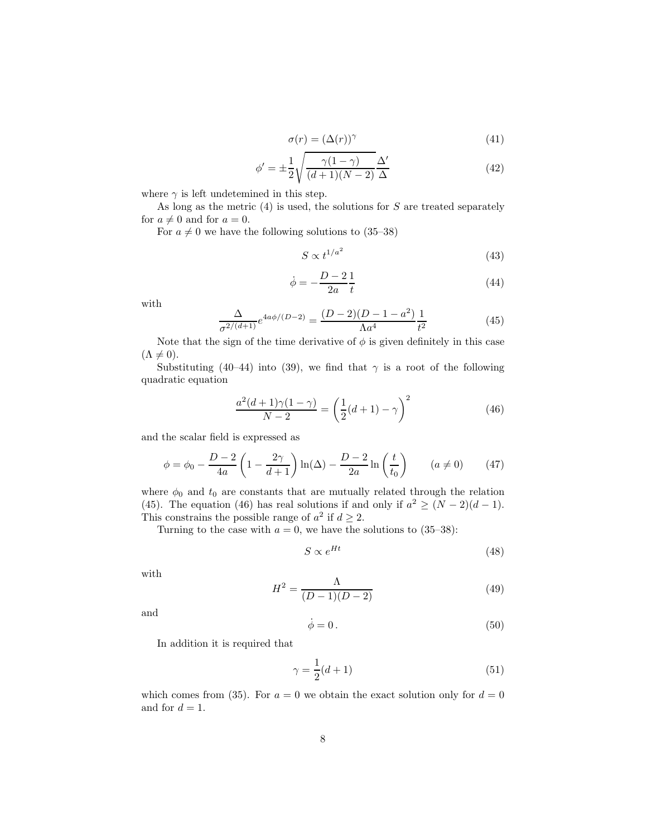$$
\sigma(r) = (\Delta(r))^\gamma \tag{41}
$$

$$
\phi' = \pm \frac{1}{2} \sqrt{\frac{\gamma (1 - \gamma)}{(d + 1)(N - 2)}} \frac{\Delta'}{\Delta} \tag{42}
$$

where  $\gamma$  is left undetemined in this step.

As long as the metric  $(4)$  is used, the solutions for S are treated separately for  $a \neq 0$  and for  $a = 0$ .

For  $a \neq 0$  we have the following solutions to (35–38)

$$
S \propto t^{1/a^2} \tag{43}
$$

$$
\dot{\phi} = -\frac{D-2}{2a} \frac{1}{t} \tag{44}
$$

with

$$
\frac{\Delta}{\sigma^{2/(d+1)}} e^{4a\phi/(D-2)} = \frac{(D-2)(D-1-a^2)}{\Lambda a^4} \frac{1}{t^2}
$$
(45)

Note that the sign of the time derivative of  $\phi$  is given definitely in this case  $(\Lambda \neq 0).$ 

Substituting (40–44) into (39), we find that  $\gamma$  is a root of the following quadratic equation

$$
\frac{a^2(d+1)\gamma(1-\gamma)}{N-2} = \left(\frac{1}{2}(d+1) - \gamma\right)^2\tag{46}
$$

and the scalar field is expressed as

$$
\phi = \phi_0 - \frac{D - 2}{4a} \left( 1 - \frac{2\gamma}{d + 1} \right) \ln(\Delta) - \frac{D - 2}{2a} \ln\left(\frac{t}{t_0}\right) \qquad (a \neq 0) \tag{47}
$$

where  $\phi_0$  and  $t_0$  are constants that are mutually related through the relation (45). The equation (46) has real solutions if and only if  $a^2 \ge (N-2)(d-1)$ . This constrains the possible range of  $a^2$  if  $d \geq 2$ .

Turning to the case with  $a = 0$ , we have the solutions to (35–38):

$$
S \propto e^{Ht} \tag{48}
$$

with

$$
H^2 = \frac{\Lambda}{(D-1)(D-2)}\tag{49}
$$

and

$$
\dot{\phi} = 0. \tag{50}
$$

In addition it is required that

$$
\gamma = \frac{1}{2}(d+1) \tag{51}
$$

which comes from (35). For  $a = 0$  we obtain the exact solution only for  $d = 0$ and for  $d = 1$ .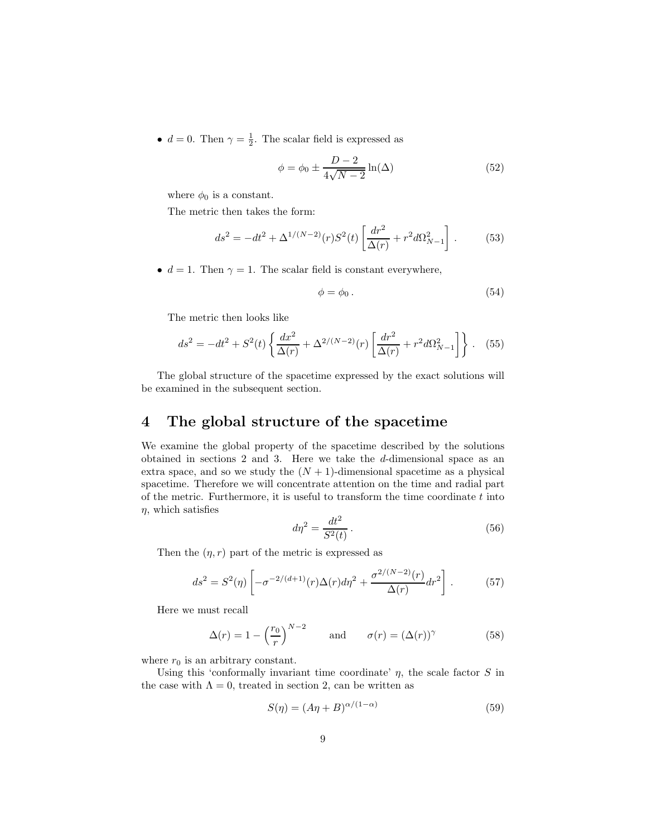•  $d = 0$ . Then  $\gamma = \frac{1}{2}$ . The scalar field is expressed as

$$
\phi = \phi_0 \pm \frac{D-2}{4\sqrt{N-2}} \ln(\Delta) \tag{52}
$$

where  $\phi_0$  is a constant.

The metric then takes the form:

$$
ds^{2} = -dt^{2} + \Delta^{1/(N-2)}(r)S^{2}(t)\left[\frac{dr^{2}}{\Delta(r)} + r^{2}d\Omega_{N-1}^{2}\right].
$$
 (53)

•  $d = 1$ . Then  $\gamma = 1$ . The scalar field is constant everywhere,

$$
\phi = \phi_0 \,. \tag{54}
$$

The metric then looks like

$$
ds^{2} = -dt^{2} + S^{2}(t) \left\{ \frac{dx^{2}}{\Delta(r)} + \Delta^{2/(N-2)}(r) \left[ \frac{dr^{2}}{\Delta(r)} + r^{2} d\Omega_{N-1}^{2} \right] \right\}.
$$
 (55)

The global structure of the spacetime expressed by the exact solutions will be examined in the subsequent section.

#### 4 The global structure of the spacetime

We examine the global property of the spacetime described by the solutions obtained in sections 2 and 3. Here we take the d-dimensional space as an extra space, and so we study the  $(N + 1)$ -dimensional spacetime as a physical spacetime. Therefore we will concentrate attention on the time and radial part of the metric. Furthermore, it is useful to transform the time coordinate  $t$  into  $\eta$ , which satisfies

$$
d\eta^2 = \frac{dt^2}{S^2(t)}\,. \tag{56}
$$

Then the  $(\eta, r)$  part of the metric is expressed as

$$
ds^{2} = S^{2}(\eta) \left[ -\sigma^{-2/(d+1)}(r)\Delta(r)d\eta^{2} + \frac{\sigma^{2/(N-2)}(r)}{\Delta(r)}dr^{2} \right].
$$
 (57)

Here we must recall

$$
\Delta(r) = 1 - \left(\frac{r_0}{r}\right)^{N-2} \quad \text{and} \quad \sigma(r) = (\Delta(r))^\gamma \tag{58}
$$

where  $r_0$  is an arbitrary constant.

Using this 'conformally invariant time coordinate'  $\eta$ , the scale factor S in the case with  $\Lambda = 0$ , treated in section 2, can be written as

$$
S(\eta) = (A\eta + B)^{\alpha/(1-\alpha)}\tag{59}
$$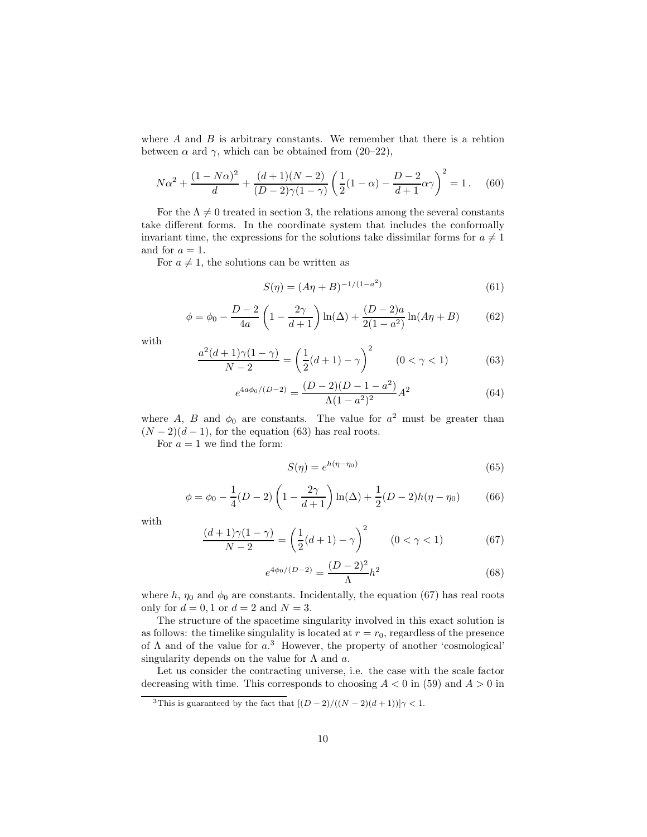where  $A$  and  $B$  is arbitrary constants. We remember that there is a rehtion between  $\alpha$  ard  $\gamma$ , which can be obtained from (20–22),

$$
N\alpha^2 + \frac{(1 - N\alpha)^2}{d} + \frac{(d+1)(N-2)}{(D-2)\gamma(1-\gamma)} \left(\frac{1}{2}(1-\alpha) - \frac{D-2}{d+1}\alpha\gamma\right)^2 = 1.
$$
 (60)

For the  $\Lambda \neq 0$  treated in section 3, the relations among the several constants take different forms. In the coordinate system that includes the conformally invariant time, the expressions for the solutions take dissimilar forms for  $a \neq 1$ and for  $a = 1$ .

For  $a \neq 1$ , the solutions can be written as

$$
S(\eta) = (A\eta + B)^{-1/(1 - a^2)}
$$
\n(61)

$$
\phi = \phi_0 - \frac{D-2}{4a} \left( 1 - \frac{2\gamma}{d+1} \right) \ln(\Delta) + \frac{(D-2)a}{2(1-a^2)} \ln(A\eta + B) \tag{62}
$$

with

$$
\frac{a^2(d+1)\gamma(1-\gamma)}{N-2} = \left(\frac{1}{2}(d+1) - \gamma\right)^2 \qquad (0 < \gamma < 1)
$$
 (63)

$$
e^{4a\phi_0/(D-2)} = \frac{(D-2)(D-1-a^2)}{\Lambda(1-a^2)^2}A^2
$$
\n(64)

where A, B and  $\phi_0$  are constants. The value for  $a^2$  must be greater than  $(N-2)(d-1)$ , for the equation (63) has real roots.

For  $a = 1$  we find the form:

$$
S(\eta) = e^{h(\eta - \eta_0)}\tag{65}
$$

$$
\phi = \phi_0 - \frac{1}{4}(D-2)\left(1 - \frac{2\gamma}{d+1}\right)\ln(\Delta) + \frac{1}{2}(D-2)h(\eta - \eta_0) \tag{66}
$$

with

$$
\frac{(d+1)\gamma(1-\gamma)}{N-2} = \left(\frac{1}{2}(d+1) - \gamma\right)^2 \qquad (0 < \gamma < 1)
$$
 (67)

$$
e^{4\phi_0/(D-2)} = \frac{(D-2)^2}{\Lambda}h^2
$$
\n(68)

where h,  $\eta_0$  and  $\phi_0$  are constants. Incidentally, the equation (67) has real roots only for  $d = 0, 1$  or  $d = 2$  and  $N = 3$ .

The structure of the spacetime singularity involved in this exact solution is as follows: the timelike singulality is located at  $r = r_0$ , regardless of the presence of Λ and of the value for a. <sup>3</sup> However, the property of another 'cosmological' singularity depends on the value for  $\Lambda$  and  $a$ .

Let us consider the contracting universe, i.e. the case with the scale factor decreasing with time. This corresponds to choosing  $A < 0$  in (59) and  $A > 0$  in

<sup>&</sup>lt;sup>3</sup>This is guaranteed by the fact that  $[(D-2)/((N-2)(d+1))]$  $\gamma$  < 1.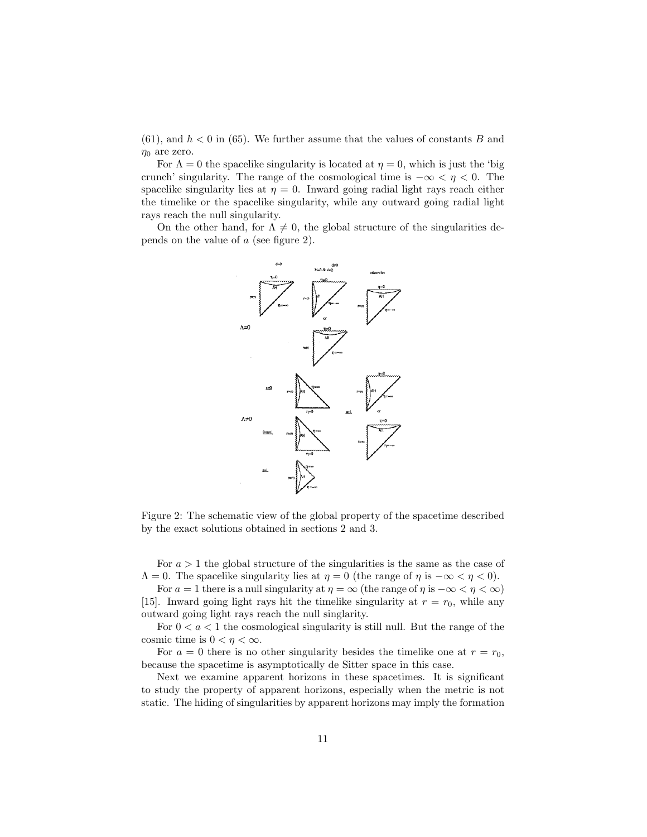$(61)$ , and  $h < 0$  in  $(65)$ . We further assume that the values of constants B and  $\eta_0$  are zero.

For  $\Lambda = 0$  the spacelike singularity is located at  $\eta = 0$ , which is just the 'big crunch' singularity. The range of the cosmological time is  $-\infty < \eta < 0$ . The spacelike singularity lies at  $\eta = 0$ . Inward going radial light rays reach either the timelike or the spacelike singularity, while any outward going radial light rays reach the null singularity.

On the other hand, for  $\Lambda \neq 0$ , the global structure of the singularities depends on the value of a (see figure 2).



Figure 2: The schematic view of the global property of the spacetime described by the exact solutions obtained in sections 2 and 3.

For  $a > 1$  the global structure of the singularities is the same as the case of  $\Lambda = 0$ . The spacelike singularity lies at  $\eta = 0$  (the range of  $\eta$  is  $-\infty < \eta < 0$ ).

For  $a = 1$  there is a null singularity at  $\eta = \infty$  (the range of  $\eta$  is  $-\infty < \eta < \infty$ ) [15]. Inward going light rays hit the timelike singularity at  $r = r_0$ , while any outward going light rays reach the null singlarity.

For  $0 < a < 1$  the cosmological singularity is still null. But the range of the cosmic time is  $0 < \eta < \infty$ .

For  $a = 0$  there is no other singularity besides the timelike one at  $r = r_0$ , because the spacetime is asymptotically de Sitter space in this case.

Next we examine apparent horizons in these spacetimes. It is significant to study the property of apparent horizons, especially when the metric is not static. The hiding of singularities by apparent horizons may imply the formation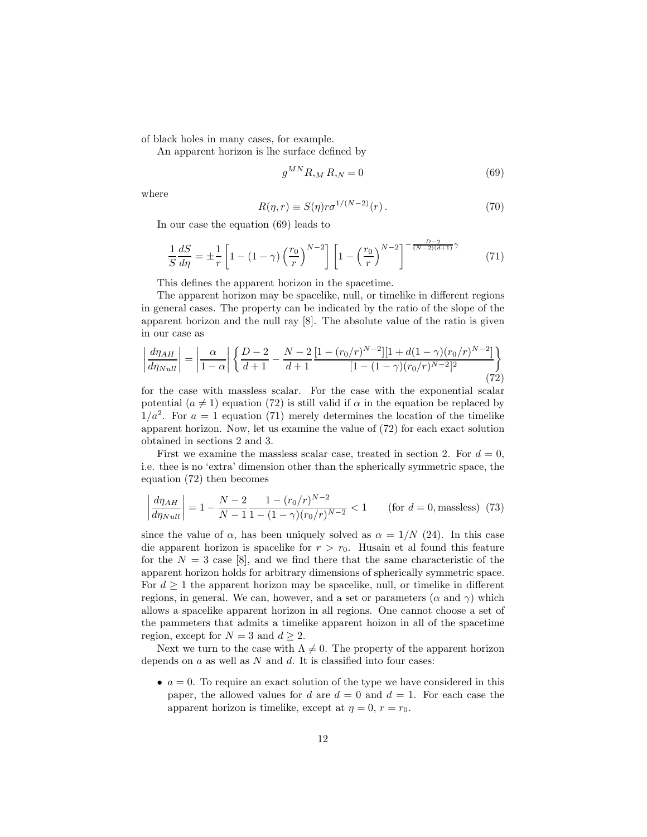of black holes in many cases, for example.

An apparent horizon is lhe surface defined by

$$
g^{MN}R_{,M}R_{,N}=0
$$
\n(69)

where

$$
R(\eta, r) \equiv S(\eta)r\sigma^{1/(N-2)}(r). \tag{70}
$$

In our case the equation (69) leads to

$$
\frac{1}{S}\frac{dS}{d\eta} = \pm \frac{1}{r} \left[ 1 - (1 - \gamma) \left( \frac{r_0}{r} \right)^{N-2} \right] \left[ 1 - \left( \frac{r_0}{r} \right)^{N-2} \right]^{-\frac{D-2}{(N-2)(d+1)}\gamma} \tag{71}
$$

This defines the apparent horizon in the spacetime.

The apparent horizon may be spacelike, null, or timelike in different regions in general cases. The property can be indicated by the ratio of the slope of the apparent borizon and the null ray [8]. The absolute value of the ratio is given in our case as

$$
\left| \frac{d\eta_{AH}}{d\eta_{Null}} \right| = \left| \frac{\alpha}{1-\alpha} \right| \left\{ \frac{D-2}{d+1} - \frac{N-2}{d+1} \frac{[1 - (r_0/r)^{N-2}][1 + d(1-\gamma)(r_0/r)^{N-2}]}{[1 - (1-\gamma)(r_0/r)^{N-2}]^2} \right\}
$$
(72)

for the case with massless scalar. For the case with the exponential scalar potential  $(a \neq 1)$  equation (72) is still valid if  $\alpha$  in the equation be replaced by  $1/a^2$ . For  $a = 1$  equation (71) merely determines the location of the timelike apparent horizon. Now, let us examine the value of (72) for each exact solution obtained in sections 2 and 3.

First we examine the massless scalar case, treated in section 2. For  $d = 0$ , i.e. thee is no 'extra' dimension other than the spherically symmetric space, the equation (72) then becomes

$$
\left| \frac{d\eta_{AH}}{d\eta_{Null}} \right| = 1 - \frac{N-2}{N-1} \frac{1 - (r_0/r)^{N-2}}{1 - (1-\gamma)(r_0/r)^{N-2}} < 1 \quad \text{(for } d = 0, \text{massless)} \tag{73}
$$

since the value of  $\alpha$ , has been uniquely solved as  $\alpha = 1/N$  (24). In this case die apparent horizon is spacelike for  $r > r_0$ . Husain et al found this feature for the  $N = 3$  case [8], and we find there that the same characteristic of the apparent horizon holds for arbitrary dimensions of spherically symmetric space. For  $d \geq 1$  the apparent horizon may be spacelike, null, or timelike in different regions, in general. We can, however, and a set or parameters  $(\alpha$  and  $\gamma)$  which allows a spacelike apparent horizon in all regions. One cannot choose a set of the pammeters that admits a timelike apparent hoizon in all of the spacetime region, except for  $N = 3$  and  $d \geq 2$ .

Next we turn to the case with  $\Lambda \neq 0$ . The property of the apparent horizon depends on  $a$  as well as  $N$  and  $d$ . It is classified into four cases:

•  $a = 0$ . To require an exact solution of the type we have considered in this paper, the allowed values for d are  $d = 0$  and  $d = 1$ . For each case the apparent horizon is timelike, except at  $\eta = 0$ ,  $r = r_0$ .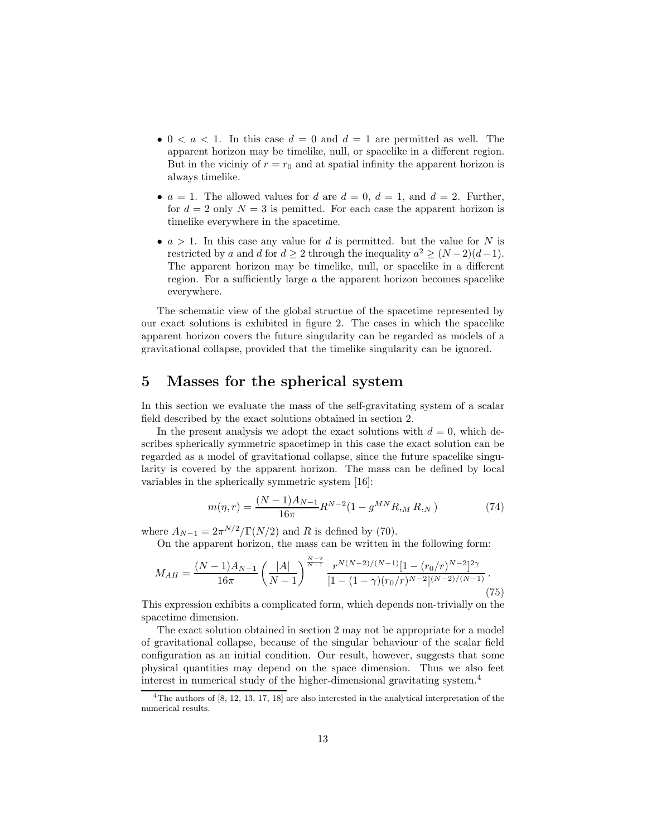- 0 <  $a$  < 1. In this case  $d = 0$  and  $d = 1$  are permitted as well. The apparent horizon may be timelike, null, or spacelike in a different region. But in the vicinity of  $r = r_0$  and at spatial infinity the apparent horizon is always timelike.
- $a = 1$ . The allowed values for d are  $d = 0$ ,  $d = 1$ , and  $d = 2$ . Further, for  $d = 2$  only  $N = 3$  is pemitted. For each case the apparent horizon is timelike everywhere in the spacetime.
- $a > 1$ . In this case any value for d is permitted, but the value for N is restricted by a and d for  $d \geq 2$  through the inequality  $a^2 \geq (N-2)(d-1)$ . The apparent horizon may be timelike, null, or spacelike in a different region. For a sufficiently large  $\alpha$  the apparent horizon becomes spacelike everywhere.

The schematic view of the global structue of the spacetime represented by our exact solutions is exhibited in figure 2. The cases in which the spacelike apparent horizon covers the future singularity can be regarded as models of a gravitational collapse, provided that the timelike singularity can be ignored.

#### 5 Masses for the spherical system

In this section we evaluate the mass of the self-gravitating system of a scalar field described by the exact solutions obtained in section 2.

In the present analysis we adopt the exact solutions with  $d = 0$ , which describes spherically symmetric spacetimep in this case the exact solution can be regarded as a model of gravitational collapse, since the future spacelike singularity is covered by the apparent horizon. The mass can be defined by local variables in the spherically symmetric system [16]:

$$
m(\eta, r) = \frac{(N-1)A_{N-1}}{16\pi} R^{N-2} (1 - g^{MN} R_{,M} R_{,N})
$$
\n(74)

where  $A_{N-1} = 2\pi^{N/2} / \Gamma(N/2)$  and R is defined by (70).

On the apparent horizon, the mass can be written in the following form:

$$
M_{AH} = \frac{(N-1)A_{N-1}}{16\pi} \left(\frac{|A|}{N-1}\right)^{\frac{N-2}{N-1}} \frac{r^{N(N-2)/(N-1)}[1 - (r_0/r)^{N-2}]^{2\gamma}}{[1 - (1-\gamma)(r_0/r)^{N-2}]^{(N-2)/(N-1)}}.
$$
\n(75)

This expression exhibits a complicated form, which depends non-trivially on the spacetime dimension.

The exact solution obtained in section 2 may not be appropriate for a model of gravitational collapse, because of the singular behaviour of the scalar field configuration as an initial condition. Our result, however, suggests that some physical quantities may depend on the space dimension. Thus we also feet interest in numerical study of the higher-dimensional gravitating system.<sup>4</sup>

<sup>&</sup>lt;sup>4</sup>The authors of [8, 12, 13, 17, 18] are also interested in the analytical interpretation of the numerical results.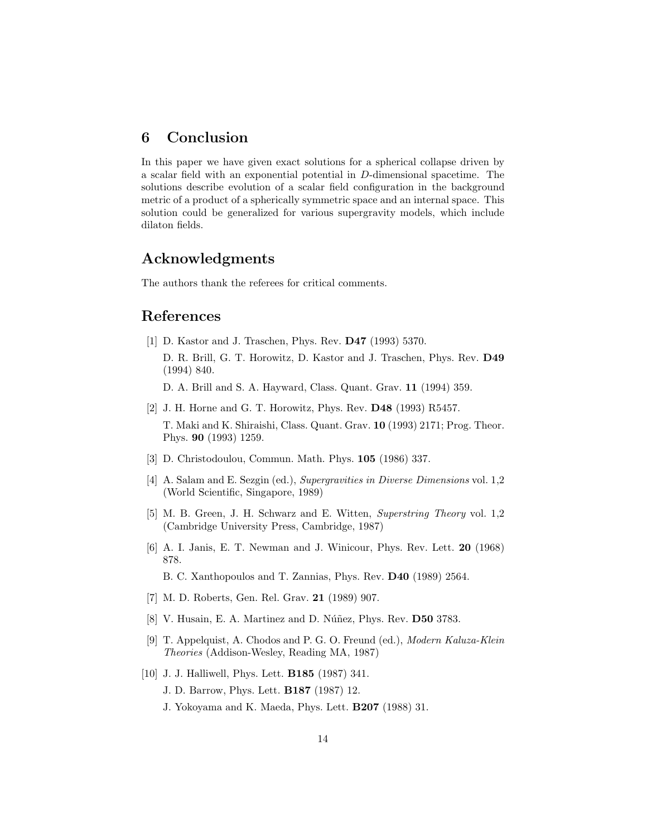### 6 Conclusion

In this paper we have given exact solutions for a spherical collapse driven by a scalar field with an exponential potential in D-dimensional spacetime. The solutions describe evolution of a scalar field configuration in the background metric of a product of a spherically symmetric space and an internal space. This solution could be generalized for various supergravity models, which include dilaton fields.

## Acknowledgments

The authors thank the referees for critical comments.

#### References

- [1] D. Kastor and J. Traschen, Phys. Rev. D47 (1993) 5370. D. R. Brill, G. T. Horowitz, D. Kastor and J. Traschen, Phys. Rev. D49 (1994) 840.
	- D. A. Brill and S. A. Hayward, Class. Quant. Grav. 11 (1994) 359.
- [2] J. H. Horne and G. T. Horowitz, Phys. Rev. D48 (1993) R5457. T. Maki and K. Shiraishi, Class. Quant. Grav. 10 (1993) 2171; Prog. Theor. Phys. 90 (1993) 1259.
- [3] D. Christodoulou, Commun. Math. Phys. 105 (1986) 337.
- [4] A. Salam and E. Sezgin (ed.), Supergravities in Diverse Dimensions vol. 1,2 (World Scientific, Singapore, 1989)
- [5] M. B. Green, J. H. Schwarz and E. Witten, Superstring Theory vol. 1,2 (Cambridge University Press, Cambridge, 1987)
- [6] A. I. Janis, E. T. Newman and J. Winicour, Phys. Rev. Lett. 20 (1968) 878.

B. C. Xanthopoulos and T. Zannias, Phys. Rev. D40 (1989) 2564.

- [7] M. D. Roberts, Gen. Rel. Grav. 21 (1989) 907.
- [8] V. Husain, E. A. Martinez and D. Núñez, Phys. Rev.  $\overline{D50}$  3783.
- [9] T. Appelquist, A. Chodos and P. G. O. Freund (ed.), Modern Kaluza-Klein Theories (Addison-Wesley, Reading MA, 1987)
- [10] J. J. Halliwell, Phys. Lett. B185 (1987) 341.
	- J. D. Barrow, Phys. Lett. B187 (1987) 12.
	- J. Yokoyama and K. Maeda, Phys. Lett. B207 (1988) 31.